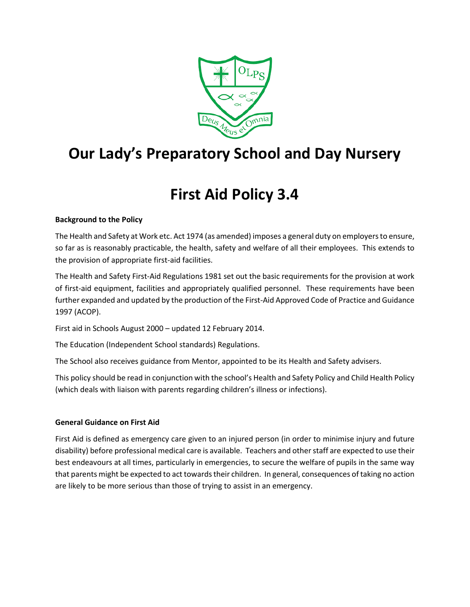

# **Our Lady's Preparatory School and Day Nursery**

# **First Aid Policy 3.4**

#### **Background to the Policy**

The Health and Safety at Work etc. Act 1974 (as amended) imposes a general duty on employers to ensure, so far as is reasonably practicable, the health, safety and welfare of all their employees. This extends to the provision of appropriate first-aid facilities.

The Health and Safety First-Aid Regulations 1981 set out the basic requirements for the provision at work of first-aid equipment, facilities and appropriately qualified personnel. These requirements have been further expanded and updated by the production of the First-Aid Approved Code of Practice and Guidance 1997 (ACOP).

First aid in Schools August 2000 – updated 12 February 2014.

The Education (Independent School standards) Regulations.

The School also receives guidance from Mentor, appointed to be its Health and Safety advisers.

This policy should be read in conjunction with the school's Health and Safety Policy and Child Health Policy (which deals with liaison with parents regarding children's illness or infections).

#### **General Guidance on First Aid**

First Aid is defined as emergency care given to an injured person (in order to minimise injury and future disability) before professional medical care is available. Teachers and other staff are expected to use their best endeavours at all times, particularly in emergencies, to secure the welfare of pupils in the same way that parents might be expected to act towards their children. In general, consequences of taking no action are likely to be more serious than those of trying to assist in an emergency.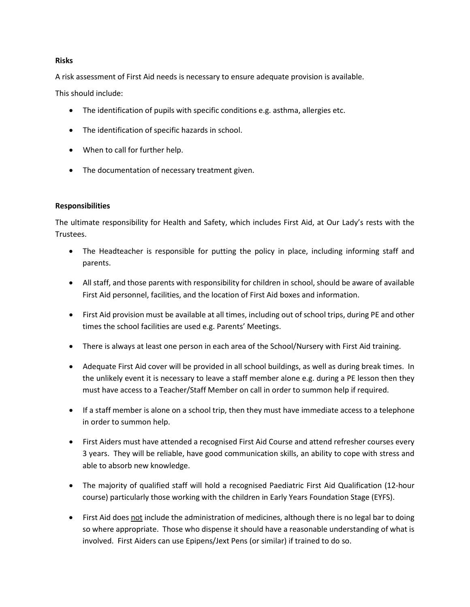#### **Risks**

A risk assessment of First Aid needs is necessary to ensure adequate provision is available.

This should include:

- The identification of pupils with specific conditions e.g. asthma, allergies etc.
- The identification of specific hazards in school.
- When to call for further help.
- The documentation of necessary treatment given.

#### **Responsibilities**

The ultimate responsibility for Health and Safety, which includes First Aid, at Our Lady's rests with the Trustees.

- The Headteacher is responsible for putting the policy in place, including informing staff and parents.
- All staff, and those parents with responsibility for children in school, should be aware of available First Aid personnel, facilities, and the location of First Aid boxes and information.
- First Aid provision must be available at all times, including out of school trips, during PE and other times the school facilities are used e.g. Parents' Meetings.
- There is always at least one person in each area of the School/Nursery with First Aid training.
- Adequate First Aid cover will be provided in all school buildings, as well as during break times. In the unlikely event it is necessary to leave a staff member alone e.g. during a PE lesson then they must have access to a Teacher/Staff Member on call in order to summon help if required.
- If a staff member is alone on a school trip, then they must have immediate access to a telephone in order to summon help.
- First Aiders must have attended a recognised First Aid Course and attend refresher courses every 3 years. They will be reliable, have good communication skills, an ability to cope with stress and able to absorb new knowledge.
- The majority of qualified staff will hold a recognised Paediatric First Aid Qualification (12-hour course) particularly those working with the children in Early Years Foundation Stage (EYFS).
- First Aid does not include the administration of medicines, although there is no legal bar to doing so where appropriate. Those who dispense it should have a reasonable understanding of what is involved. First Aiders can use Epipens/Jext Pens (or similar) if trained to do so.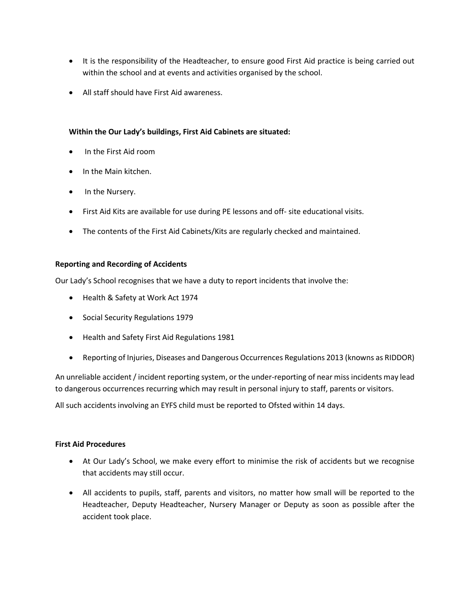- It is the responsibility of the Headteacher, to ensure good First Aid practice is being carried out within the school and at events and activities organised by the school.
- All staff should have First Aid awareness.

#### **Within the Our Lady's buildings, First Aid Cabinets are situated:**

- In the First Aid room
- In the Main kitchen.
- In the Nursery.
- First Aid Kits are available for use during PE lessons and off- site educational visits.
- The contents of the First Aid Cabinets/Kits are regularly checked and maintained.

#### **Reporting and Recording of Accidents**

Our Lady's School recognises that we have a duty to report incidents that involve the:

- Health & Safety at Work Act 1974
- Social Security Regulations 1979
- Health and Safety First Aid Regulations 1981
- Reporting of Injuries, Diseases and Dangerous Occurrences Regulations 2013 (knowns as RIDDOR)

An unreliable accident / incident reporting system, or the under-reporting of near miss incidents may lead to dangerous occurrences recurring which may result in personal injury to staff, parents or visitors.

All such accidents involving an EYFS child must be reported to Ofsted within 14 days.

#### **First Aid Procedures**

- At Our Lady's School, we make every effort to minimise the risk of accidents but we recognise that accidents may still occur.
- All accidents to pupils, staff, parents and visitors, no matter how small will be reported to the Headteacher, Deputy Headteacher, Nursery Manager or Deputy as soon as possible after the accident took place.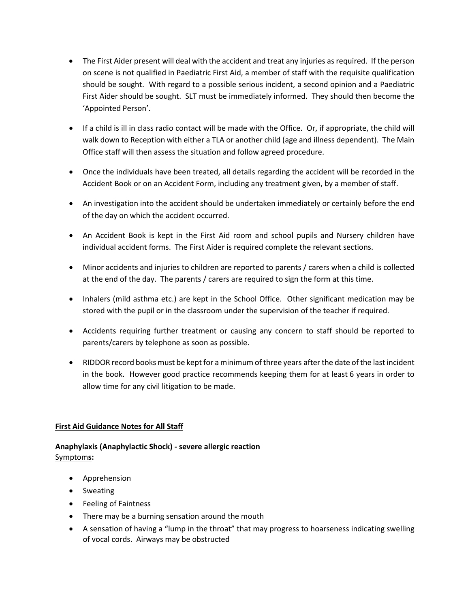- The First Aider present will deal with the accident and treat any injuries as required. If the person on scene is not qualified in Paediatric First Aid, a member of staff with the requisite qualification should be sought. With regard to a possible serious incident, a second opinion and a Paediatric First Aider should be sought. SLT must be immediately informed. They should then become the 'Appointed Person'.
- If a child is ill in class radio contact will be made with the Office. Or, if appropriate, the child will walk down to Reception with either a TLA or another child (age and illness dependent). The Main Office staff will then assess the situation and follow agreed procedure.
- Once the individuals have been treated, all details regarding the accident will be recorded in the Accident Book or on an Accident Form, including any treatment given, by a member of staff.
- An investigation into the accident should be undertaken immediately or certainly before the end of the day on which the accident occurred.
- An Accident Book is kept in the First Aid room and school pupils and Nursery children have individual accident forms. The First Aider is required complete the relevant sections.
- Minor accidents and injuries to children are reported to parents / carers when a child is collected at the end of the day. The parents / carers are required to sign the form at this time.
- Inhalers (mild asthma etc.) are kept in the School Office. Other significant medication may be stored with the pupil or in the classroom under the supervision of the teacher if required.
- Accidents requiring further treatment or causing any concern to staff should be reported to parents/carers by telephone as soon as possible.
- RIDDOR record books must be kept for a minimum of three years after the date of the last incident in the book. However good practice recommends keeping them for at least 6 years in order to allow time for any civil litigation to be made.

#### **First Aid Guidance Notes for All Staff**

#### **Anaphylaxis (Anaphylactic Shock) - severe allergic reaction**  Symptom**s:**

- Apprehension
- Sweating
- Feeling of Faintness
- There may be a burning sensation around the mouth
- A sensation of having a "lump in the throat" that may progress to hoarseness indicating swelling of vocal cords. Airways may be obstructed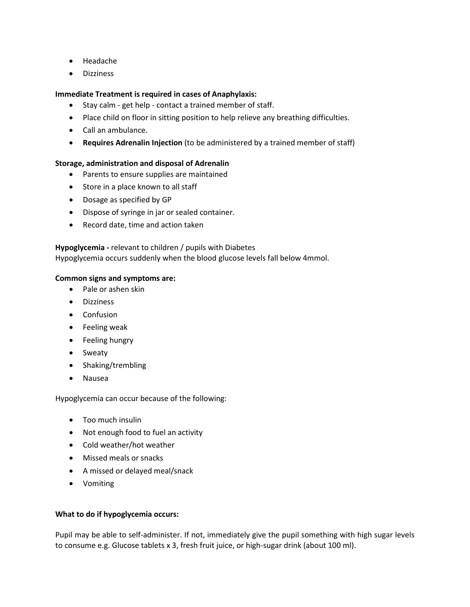- Headache
- Dizziness

#### **Immediate Treatment is required in cases of Anaphylaxis:**

- Stay calm get help contact a trained member of staff.
- Place child on floor in sitting position to help relieve any breathing difficulties.
- Call an ambulance.
- **Requires Adrenalin Injection** (to be administered by a trained member of staff)

#### **Storage, administration and disposal of Adrenalin**

- Parents to ensure supplies are maintained
- Store in a place known to all staff
- Dosage as specified by GP
- Dispose of syringe in jar or sealed container.
- Record date, time and action taken

#### **Hypoglycemia -** relevant to children / pupils with Diabetes

Hypoglycemia occurs suddenly when the blood glucose levels fall below 4mmol.

#### **Common signs and symptoms are:**

- Pale or ashen skin
- Dizziness
- Confusion
- Feeling weak
- Feeling hungry
- Sweaty
- Shaking/trembling
- Nausea

Hypoglycemia can occur because of the following:

- Too much insulin
- Not enough food to fuel an activity
- Cold weather/hot weather
- Missed meals or snacks
- A missed or delayed meal/snack
- Vomiting

#### **What to do if hypoglycemia occurs:**

Pupil may be able to self-administer. If not, immediately give the pupil something with high sugar levels to consume e.g. Glucose tablets x 3, fresh fruit juice, or high-sugar drink (about 100 ml).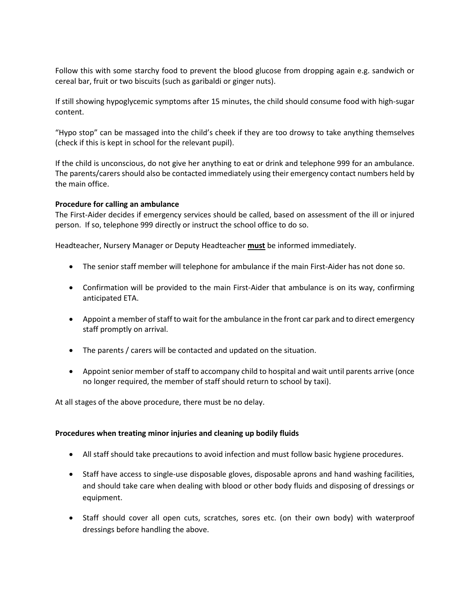Follow this with some starchy food to prevent the blood glucose from dropping again e.g. sandwich or cereal bar, fruit or two biscuits (such as garibaldi or ginger nuts).

If still showing hypoglycemic symptoms after 15 minutes, the child should consume food with high-sugar content.

"Hypo stop" can be massaged into the child's cheek if they are too drowsy to take anything themselves (check if this is kept in school for the relevant pupil).

If the child is unconscious, do not give her anything to eat or drink and telephone 999 for an ambulance. The parents/carers should also be contacted immediately using their emergency contact numbers held by the main office.

#### **Procedure for calling an ambulance**

The First-Aider decides if emergency services should be called, based on assessment of the ill or injured person. If so, telephone 999 directly or instruct the school office to do so.

Headteacher, Nursery Manager or Deputy Headteacher **must** be informed immediately.

- The senior staff member will telephone for ambulance if the main First-Aider has not done so.
- Confirmation will be provided to the main First-Aider that ambulance is on its way, confirming anticipated ETA.
- Appoint a member of staff to wait for the ambulance in the front car park and to direct emergency staff promptly on arrival.
- The parents / carers will be contacted and updated on the situation.
- Appoint senior member of staff to accompany child to hospital and wait until parents arrive (once no longer required, the member of staff should return to school by taxi).

At all stages of the above procedure, there must be no delay.

#### **Procedures when treating minor injuries and cleaning up bodily fluids**

- All staff should take precautions to avoid infection and must follow basic hygiene procedures.
- Staff have access to single-use disposable gloves, disposable aprons and hand washing facilities, and should take care when dealing with blood or other body fluids and disposing of dressings or equipment.
- Staff should cover all open cuts, scratches, sores etc. (on their own body) with waterproof dressings before handling the above.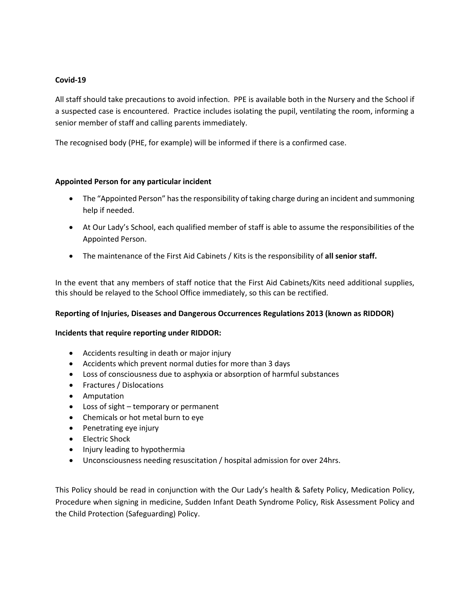#### **Covid-19**

All staff should take precautions to avoid infection. PPE is available both in the Nursery and the School if a suspected case is encountered. Practice includes isolating the pupil, ventilating the room, informing a senior member of staff and calling parents immediately.

The recognised body (PHE, for example) will be informed if there is a confirmed case.

#### **Appointed Person for any particular incident**

- The "Appointed Person" has the responsibility of taking charge during an incident and summoning help if needed.
- At Our Lady's School, each qualified member of staff is able to assume the responsibilities of the Appointed Person.
- The maintenance of the First Aid Cabinets / Kits is the responsibility of **all senior staff.**

In the event that any members of staff notice that the First Aid Cabinets/Kits need additional supplies, this should be relayed to the School Office immediately, so this can be rectified.

#### **Reporting of Injuries, Diseases and Dangerous Occurrences Regulations 2013 (known as RIDDOR)**

#### **Incidents that require reporting under RIDDOR:**

- Accidents resulting in death or major injury
- Accidents which prevent normal duties for more than 3 days
- Loss of consciousness due to asphyxia or absorption of harmful substances
- Fractures / Dislocations
- Amputation
- Loss of sight temporary or permanent
- Chemicals or hot metal burn to eye
- Penetrating eye injury
- Electric Shock
- Injury leading to hypothermia
- Unconsciousness needing resuscitation / hospital admission for over 24hrs.

This Policy should be read in conjunction with the Our Lady's health & Safety Policy, Medication Policy, Procedure when signing in medicine, Sudden Infant Death Syndrome Policy, Risk Assessment Policy and the Child Protection (Safeguarding) Policy.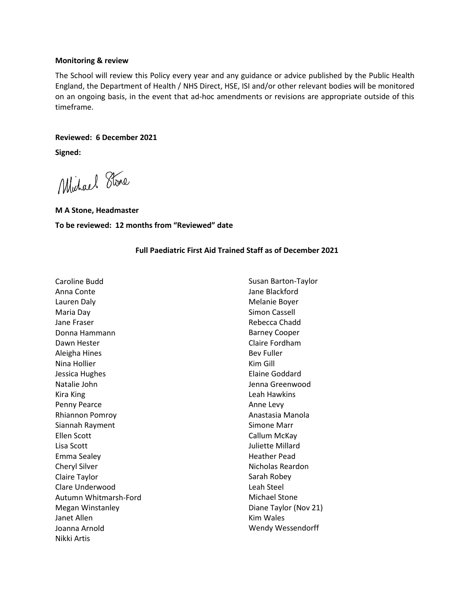#### **Monitoring & review**

The School will review this Policy every year and any guidance or advice published by the Public Health England, the Department of Health / NHS Direct, HSE, ISI and/or other relevant bodies will be monitored on an ongoing basis, in the event that ad-hoc amendments or revisions are appropriate outside of this timeframe.

#### **Reviewed: 6 December 2021**

**Signed:**

Michael Stone

**M A Stone, Headmaster To be reviewed: 12 months from "Reviewed" date**

#### **Full Paediatric First Aid Trained Staff as of December 2021**

| Caroline Budd           | Susan Barton-Taylor      |
|-------------------------|--------------------------|
| Anna Conte              | Jane Blackford           |
| Lauren Daly             | Melanie Boyer            |
| Maria Day               | <b>Simon Cassell</b>     |
| Jane Fraser             | Rebecca Chadd            |
| Donna Hammann           | <b>Barney Cooper</b>     |
| Dawn Hester             | Claire Fordham           |
| Aleigha Hines           | <b>Bev Fuller</b>        |
| Nina Hollier            | Kim Gill                 |
| Jessica Hughes          | Elaine Goddard           |
| Natalie John            | Jenna Greenwood          |
| Kira King               | Leah Hawkins             |
| Penny Pearce            | Anne Levy                |
| <b>Rhiannon Pomroy</b>  | Anastasia Manola         |
| Siannah Rayment         | Simone Marr              |
| Ellen Scott             | Callum McKay             |
| Lisa Scott              | <b>Juliette Millard</b>  |
| Emma Sealey             | <b>Heather Pead</b>      |
| <b>Cheryl Silver</b>    | Nicholas Reardon         |
| Claire Taylor           | Sarah Robey              |
| Clare Underwood         | Leah Steel               |
| Autumn Whitmarsh-Ford   | <b>Michael Stone</b>     |
| <b>Megan Winstanley</b> | Diane Taylor (Nov 21)    |
| Janet Allen             | <b>Kim Wales</b>         |
| Joanna Arnold           | <b>Wendy Wessendorff</b> |
| Nikki Artis             |                          |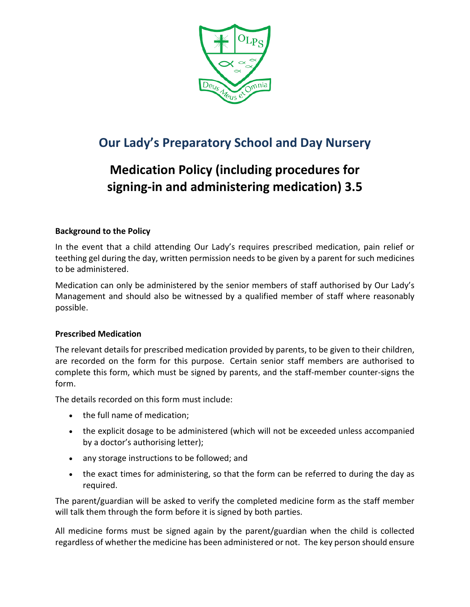

## **Our Lady's Preparatory School and Day Nursery**

# **Medication Policy (including procedures for signing-in and administering medication) 3.5**

#### **Background to the Policy**

In the event that a child attending Our Lady's requires prescribed medication, pain relief or teething gel during the day, written permission needs to be given by a parent for such medicines to be administered.

Medication can only be administered by the senior members of staff authorised by Our Lady's Management and should also be witnessed by a qualified member of staff where reasonably possible.

#### **Prescribed Medication**

The relevant details for prescribed medication provided by parents, to be given to their children, are recorded on the form for this purpose. Certain senior staff members are authorised to complete this form, which must be signed by parents, and the staff-member counter-signs the form.

The details recorded on this form must include:

- the full name of medication;
- the explicit dosage to be administered (which will not be exceeded unless accompanied by a doctor's authorising letter);
- any storage instructions to be followed; and
- the exact times for administering, so that the form can be referred to during the day as required.

The parent/guardian will be asked to verify the completed medicine form as the staff member will talk them through the form before it is signed by both parties.

All medicine forms must be signed again by the parent/guardian when the child is collected regardless of whether the medicine has been administered or not. The key person should ensure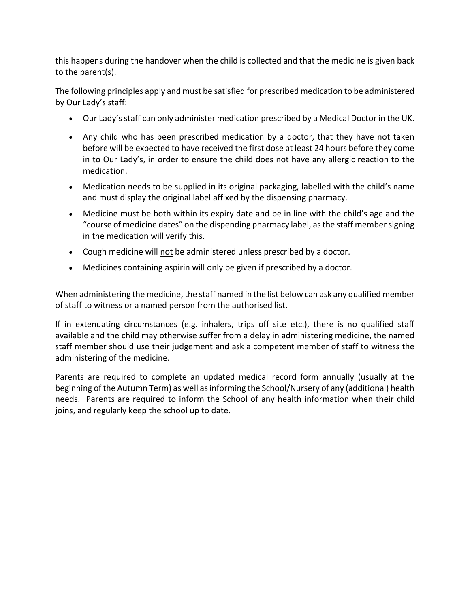this happens during the handover when the child is collected and that the medicine is given back to the parent(s).

The following principles apply and must be satisfied for prescribed medication to be administered by Our Lady's staff:

- Our Lady's staff can only administer medication prescribed by a Medical Doctor in the UK.
- Any child who has been prescribed medication by a doctor, that they have not taken before will be expected to have received the first dose at least 24 hours before they come in to Our Lady's, in order to ensure the child does not have any allergic reaction to the medication.
- Medication needs to be supplied in its original packaging, labelled with the child's name and must display the original label affixed by the dispensing pharmacy.
- Medicine must be both within its expiry date and be in line with the child's age and the "course of medicine dates" on the dispending pharmacy label, as the staff member signing in the medication will verify this.
- Cough medicine will not be administered unless prescribed by a doctor.
- Medicines containing aspirin will only be given if prescribed by a doctor.

When administering the medicine, the staff named in the list below can ask any qualified member of staff to witness or a named person from the authorised list.

If in extenuating circumstances (e.g. inhalers, trips off site etc.), there is no qualified staff available and the child may otherwise suffer from a delay in administering medicine, the named staff member should use their judgement and ask a competent member of staff to witness the administering of the medicine.

Parents are required to complete an updated medical record form annually (usually at the beginning of the Autumn Term) as well as informing the School/Nursery of any (additional) health needs. Parents are required to inform the School of any health information when their child joins, and regularly keep the school up to date.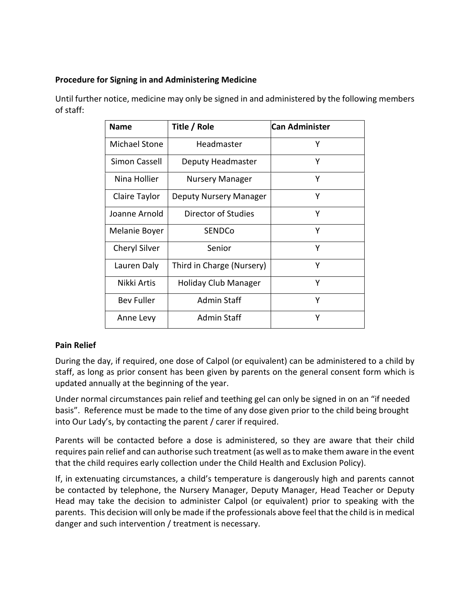#### **Procedure for Signing in and Administering Medicine**

| <b>Name</b>          | Title / Role              | <b>Can Administer</b> |
|----------------------|---------------------------|-----------------------|
| Michael Stone        | Headmaster                | Y                     |
| Simon Cassell        | Deputy Headmaster         | Y                     |
| Nina Hollier         | <b>Nursery Manager</b>    | Y                     |
| Claire Taylor        | Deputy Nursery Manager    | Y                     |
| Joanne Arnold        | Director of Studies       | Y                     |
| Melanie Boyer        | <b>SENDCo</b>             | Y                     |
| <b>Cheryl Silver</b> | Senior                    | Υ                     |
| Lauren Daly          | Third in Charge (Nursery) | Υ                     |
| Nikki Artis          | Holiday Club Manager      | Υ                     |
| <b>Bev Fuller</b>    | Admin Staff               | Υ                     |
| Anne Levy            | <b>Admin Staff</b>        | Υ                     |

Until further notice, medicine may only be signed in and administered by the following members of staff:

#### **Pain Relief**

During the day, if required, one dose of Calpol (or equivalent) can be administered to a child by staff, as long as prior consent has been given by parents on the general consent form which is updated annually at the beginning of the year.

Under normal circumstances pain relief and teething gel can only be signed in on an "if needed basis". Reference must be made to the time of any dose given prior to the child being brought into Our Lady's, by contacting the parent / carer if required.

Parents will be contacted before a dose is administered, so they are aware that their child requires pain relief and can authorise such treatment (as well as to make them aware in the event that the child requires early collection under the Child Health and Exclusion Policy).

If, in extenuating circumstances, a child's temperature is dangerously high and parents cannot be contacted by telephone, the Nursery Manager, Deputy Manager, Head Teacher or Deputy Head may take the decision to administer Calpol (or equivalent) prior to speaking with the parents. This decision will only be made if the professionals above feel that the child is in medical danger and such intervention / treatment is necessary.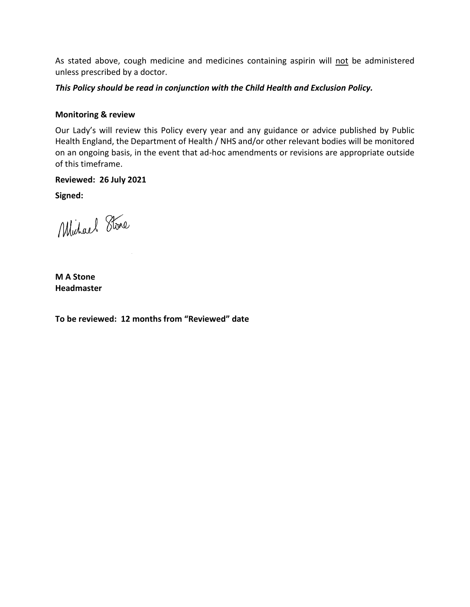As stated above, cough medicine and medicines containing aspirin will not be administered unless prescribed by a doctor.

*This Policy should be read in conjunction with the Child Health and Exclusion Policy.*

#### **Monitoring & review**

Our Lady's will review this Policy every year and any guidance or advice published by Public Health England, the Department of Health / NHS and/or other relevant bodies will be monitored on an ongoing basis, in the event that ad-hoc amendments or revisions are appropriate outside of this timeframe.

#### **Reviewed: 26 July 2021**

**Signed:**

Michael Stone

**M A Stone Headmaster**

**To be reviewed: 12 months from "Reviewed" date**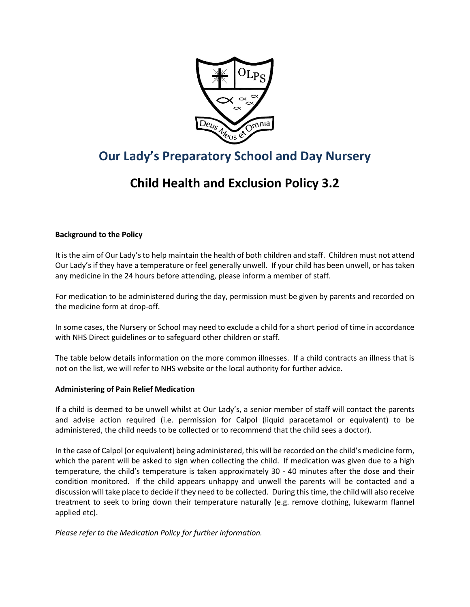

## **Our Lady's Preparatory School and Day Nursery**

## **Child Health and Exclusion Policy 3.2**

#### **Background to the Policy**

It is the aim of Our Lady's to help maintain the health of both children and staff. Children must not attend Our Lady's if they have a temperature or feel generally unwell. If your child has been unwell, or has taken any medicine in the 24 hours before attending, please inform a member of staff.

For medication to be administered during the day, permission must be given by parents and recorded on the medicine form at drop-off.

In some cases, the Nursery or School may need to exclude a child for a short period of time in accordance with NHS Direct guidelines or to safeguard other children or staff.

The table below details information on the more common illnesses. If a child contracts an illness that is not on the list, we will refer to NHS website or the local authority for further advice.

#### **Administering of Pain Relief Medication**

If a child is deemed to be unwell whilst at Our Lady's, a senior member of staff will contact the parents and advise action required (i.e. permission for Calpol (liquid paracetamol or equivalent) to be administered, the child needs to be collected or to recommend that the child sees a doctor).

In the case of Calpol (or equivalent) being administered, this will be recorded on the child's medicine form, which the parent will be asked to sign when collecting the child. If medication was given due to a high temperature, the child's temperature is taken approximately 30 - 40 minutes after the dose and their condition monitored. If the child appears unhappy and unwell the parents will be contacted and a discussion will take place to decide if they need to be collected. During this time, the child will also receive treatment to seek to bring down their temperature naturally (e.g. remove clothing, lukewarm flannel applied etc).

*Please refer to the Medication Policy for further information.*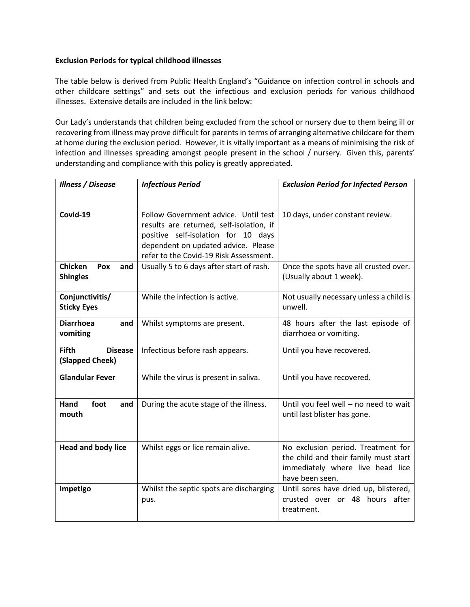#### **Exclusion Periods for typical childhood illnesses**

The table below is derived from Public Health England's "Guidance on infection control in schools and other childcare settings" and sets out the infectious and exclusion periods for various childhood illnesses. Extensive details are included in the link below:

Our Lady's understands that children being excluded from the school or nursery due to them being ill or recovering from illness may prove difficult for parents in terms of arranging alternative childcare for them at home during the exclusion period. However, it is vitally important as a means of minimising the risk of infection and illnesses spreading amongst people present in the school / nursery. Given this, parents' understanding and compliance with this policy is greatly appreciated.

| <b>Illness / Disease</b>                          | <b>Infectious Period</b>                                                                                                                                                                                 | <b>Exclusion Period for Infected Person</b>                                                                                        |
|---------------------------------------------------|----------------------------------------------------------------------------------------------------------------------------------------------------------------------------------------------------------|------------------------------------------------------------------------------------------------------------------------------------|
|                                                   |                                                                                                                                                                                                          |                                                                                                                                    |
| Covid-19                                          | Follow Government advice. Until test<br>results are returned, self-isolation, if<br>positive self-isolation for 10 days<br>dependent on updated advice. Please<br>refer to the Covid-19 Risk Assessment. | 10 days, under constant review.                                                                                                    |
| Chicken<br>Pox<br>and<br><b>Shingles</b>          | Usually 5 to 6 days after start of rash.                                                                                                                                                                 | Once the spots have all crusted over.<br>(Usually about 1 week).                                                                   |
| Conjunctivitis/<br><b>Sticky Eyes</b>             | While the infection is active.                                                                                                                                                                           | Not usually necessary unless a child is<br>unwell.                                                                                 |
| <b>Diarrhoea</b><br>and<br>vomiting               | Whilst symptoms are present.                                                                                                                                                                             | 48 hours after the last episode of<br>diarrhoea or vomiting.                                                                       |
| <b>Fifth</b><br><b>Disease</b><br>(Slapped Cheek) | Infectious before rash appears.                                                                                                                                                                          | Until you have recovered.                                                                                                          |
| <b>Glandular Fever</b>                            | While the virus is present in saliva.                                                                                                                                                                    | Until you have recovered.                                                                                                          |
| Hand<br>foot<br>and<br>mouth                      | During the acute stage of the illness.                                                                                                                                                                   | Until you feel well - no need to wait<br>until last blister has gone.                                                              |
| <b>Head and body lice</b>                         | Whilst eggs or lice remain alive.                                                                                                                                                                        | No exclusion period. Treatment for<br>the child and their family must start<br>immediately where live head lice<br>have been seen. |
| Impetigo                                          | Whilst the septic spots are discharging<br>pus.                                                                                                                                                          | Until sores have dried up, blistered,<br>crusted over or 48 hours after<br>treatment.                                              |